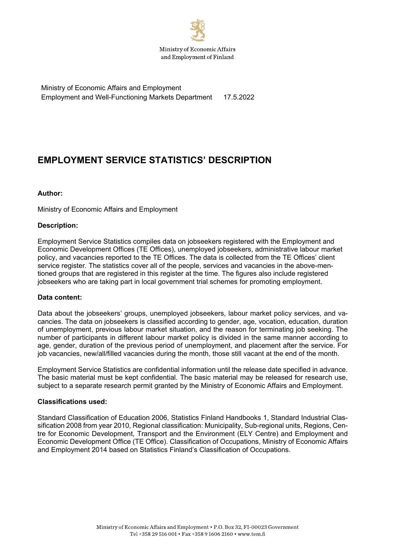

Ministry of Economic Affairs and Employment Employment and Well-Functioning Markets Department 17.5.2022

# **EMPLOYMENT SERVICE STATISTICS' DESCRIPTION**

#### **Author:**

Ministry of Economic Affairs and Employment

#### **Description:**

Employment Service Statistics compiles data on jobseekers registered with the Employment and Economic Development Offices (TE Offices), unemployed jobseekers, administrative labour market policy, and vacancies reported to the TE Offices. The data is collected from the TE Offices' client service register. The statistics cover all of the people, services and vacancies in the above-mentioned groups that are registered in this register at the time. The figures also include registered jobseekers who are taking part in local government trial schemes for promoting employment.

#### **Data content:**

Data about the jobseekers' groups, unemployed jobseekers, labour market policy services, and vacancies. The data on jobseekers is classified according to gender, age, vocation, education, duration of unemployment, previous labour market situation, and the reason for terminating job seeking. The number of participants in different labour market policy is divided in the same manner according to age, gender, duration of the previous period of unemployment, and placement after the service. For job vacancies, new/all/filled vacancies during the month, those still vacant at the end of the month.

Employment Service Statistics are confidential information until the release date specified in advance. The basic material must be kept confidential. The basic material may be released for research use, subject to a separate research permit granted by the Ministry of Economic Affairs and Employment.

#### **Classifications used:**

Standard Classification of Education 2006, Statistics Finland Handbooks 1, Standard Industrial Classification 2008 from year 2010, Regional classification: Municipality, Sub-regional units, Regions, Centre for Economic Development, Transport and the Environment (ELY Centre) and Employment and Economic Development Office (TE Office). Classification of Occupations, Ministry of Economic Affairs and Employment 2014 based on Statistics Finland's Classification of Occupations.